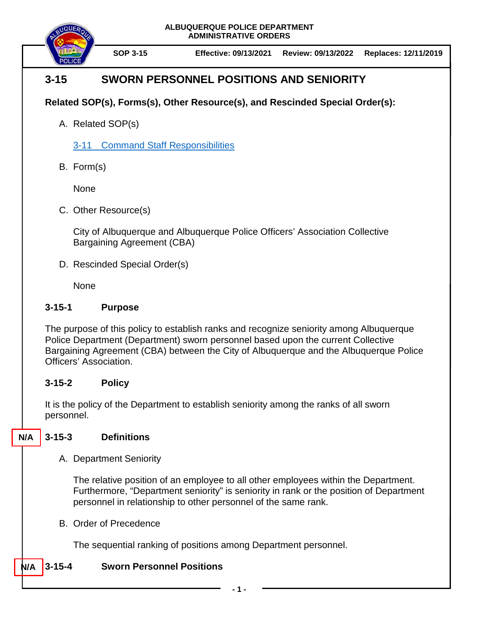**ALBUQUERQUE POLICE DEPARTMENT ADMINISTRATIVE ORDERS**



**SOP 3-15 Effective: 09/13/2021 Review: 09/13/2022 Replaces: 12/11/2019**

# **3-15 SWORN PERSONNEL POSITIONS AND SENIORITY**

## **Related SOP(s), Forms(s), Other Resource(s), and Rescinded Special Order(s):**

A. Related SOP(s)

3-11 [Command Staff Responsibilities](https://powerdms.com/docs/143)

B. Form(s)

None

C. Other Resource(s)

City of Albuquerque and Albuquerque Police Officers' Association Collective Bargaining Agreement (CBA)

D. Rescinded Special Order(s)

**None** 

### **3-15-1 Purpose**

The purpose of this policy to establish ranks and recognize seniority among Albuquerque Police Department (Department) sworn personnel based upon the current Collective Bargaining Agreement (CBA) between the City of Albuquerque and the Albuquerque Police Officers' Association.

### **3-15-2 Policy**

It is the policy of the Department to establish seniority among the ranks of all sworn personnel.

#### **3-15-3 Definitions N/A**

A. Department Seniority

The relative position of an employee to all other employees within the Department. Furthermore, "Department seniority" is seniority in rank or the position of Department personnel in relationship to other personnel of the same rank.

B. Order of Precedence

The sequential ranking of positions among Department personnel.

#### **3-15-4 Sworn Personnel Positions N/A**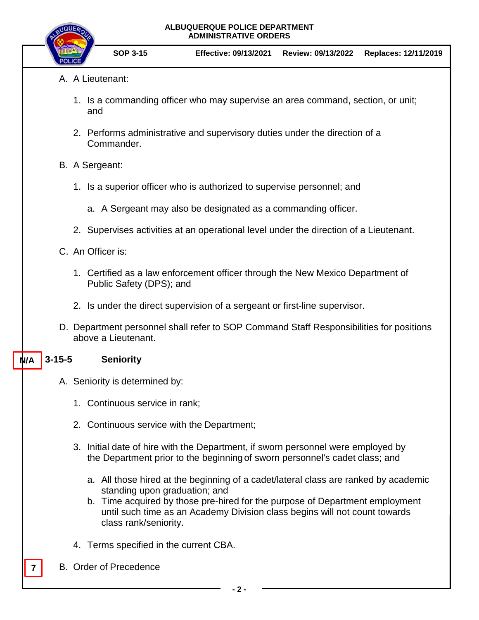| ALBUQUERQUE POLICE DEPARTMENT |
|-------------------------------|
| <b>ADMINISTRATIVE ORDERS</b>  |



- A. A Lieutenant:
	- 1. Is a commanding officer who may supervise an area command, section, or unit; and
	- 2. Performs administrative and supervisory duties under the direction of a Commander.
- B. A Sergeant:
	- 1. Is a superior officer who is authorized to supervise personnel; and
		- a. A Sergeant may also be designated as a commanding officer.
	- 2. Supervises activities at an operational level under the direction of a Lieutenant.
- C. An Officer is:
	- 1. Certified as a law enforcement officer through the New Mexico Department of Public Safety (DPS); and
	- 2. Is under the direct supervision of a sergeant or first-line supervisor.
- D. Department personnel shall refer to SOP Command Staff Responsibilities for positions above a Lieutenant.

#### **3-15-5 Seniority N/A**

- A. Seniority is determined by:
	- 1. Continuous service in rank;
	- 2. Continuous service with the Department;
	- 3. Initial date of hire with the Department, if sworn personnel were employed by the Department prior to the beginning of sworn personnel's cadet class; and
		- a. All those hired at the beginning of a cadet/lateral class are ranked by academic standing upon graduation; and
		- b. Time acquired by those pre-hired for the purpose of Department employment until such time as an Academy Division class begins will not count towards class rank/seniority.
	- 4. Terms specified in the current CBA.
- **7** B. Order of Precedence